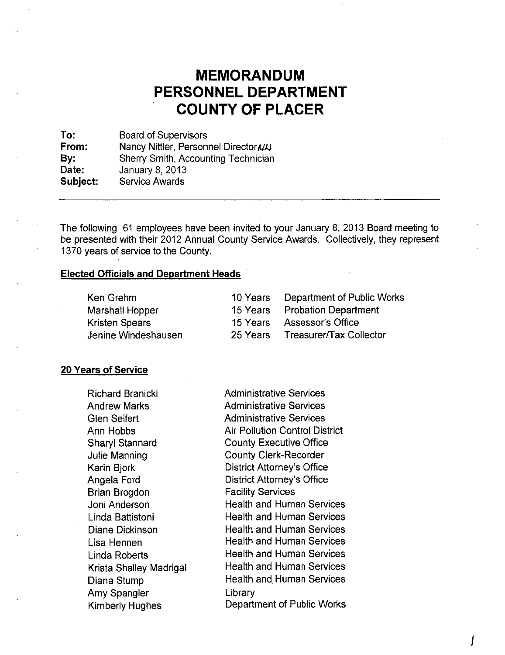# **MEMORANDUM**  PERSONNEL DEPARTMENT **COUNTY OF PLACER**

To: From: By: Date: Board of Supervisors Nancy Nittler, Personnel Director N4 Sherry Smith, Accounting Technician January 8, 2013 Subject: Service Awards

The following 61 employees have been invited to your January 8,2013 Board meeting to be presented with their 2012 Annual County Service Awards. Collectively, they represent 1370 years of service to the County.

## Elected Officials and Department Heads

| Ken Grehm             | 10 Years Department of Public Works |
|-----------------------|-------------------------------------|
| Marshall Hopper       | 15 Years Probation Department       |
| <b>Kristen Spears</b> | 15 Years Assessor's Office          |
| Jenine Windeshausen   | 25 Years Treasurer/Tax Collector    |

### 20 Years of Service

| <b>Richard Branicki</b> | <b>Administrative Services</b>        |
|-------------------------|---------------------------------------|
| <b>Andrew Marks</b>     | <b>Administrative Services</b>        |
| <b>Glen Seifert</b>     | <b>Administrative Services</b>        |
| Ann Hobbs               | <b>Air Pollution Control District</b> |
| <b>Sharyl Stannard</b>  | <b>County Executive Office</b>        |
| Julie Manning           | <b>County Clerk-Recorder</b>          |
| Karin Bjork             | District Attorney's Office            |
| Angela Ford             | <b>District Attorney's Office</b>     |
| Brian Brogdon           | <b>Facility Services</b>              |
| Joni Anderson           | <b>Health and Human Services</b>      |
| Linda Battistoni        | <b>Health and Human Services</b>      |
| Diane Dickinson         | <b>Health and Human Services</b>      |
| Lisa Hennen             | Health and Human Services             |
| Linda Roberts           | <b>Health and Human Services</b>      |
| Krista Shalley Madrigal | <b>Health and Human Services</b>      |
| Diana Stump             | <b>Health and Human Services</b>      |
| Amy Spangler            | Library                               |
| Kimberly Hughes         | Department of Public Works            |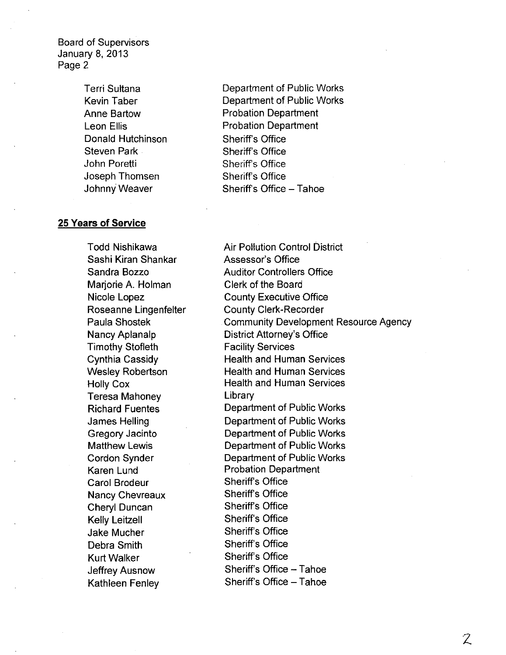Board of Supervisors January 8, 2013 Page 2

> Terri Sultana Kevin Taber Anne Bartow Leon Ellis Donald Hutchinson Steven Park John Poretti Joseph Thomsen Johnny Weaver

#### **25 Years of Service**

Todd Nishikawa Sashi Kiran Shankar Sandra Bozzo Marjorie A. Holman Nicole Lopez Roseanne Lingenfelter Paula Shostek Nancy Aplanalp Timothy Stofleth Cynthia Cassidy Wesley Robertson Holly Cox Teresa Mahoney Richard Fuentes James Helling Gregory Jacinto Matthew Lewis Cordon Synder Karen Lund Carol Brodeur Nancy Chevreaux Cheryl Duncan Kelly Leitzell Jake Mucher Debra Smith Kurt Walker Jeffrey Ausnow Kathleen Fenley

Department of Public Works Department of Public Works Probation Department Probation Department Sheriffs Office Sheriffs Office Sheriff's Office Sheriff's Office Sheriff's Office - Tahoe

Air Pollution Control District Assessor's Office Auditor Controllers Office Clerk of the Board County Executive Office County Clerk-Recorder Community Development Resource Agency District Attorney's Office Facility Services Health and Human Services Health and Human Services Health and Human Services Library Department of Public Works Department of Public Works Department of Public Works Department of Public Works Department of Public Works Probation Department Sheriff's Office Sheriff's Office Sheriff's Office Sheriffs Office Sheriff's Office Sheriff's Office Sheriff's Office Sheriff's Office - Tahoe Sheriff's Office - Tahoe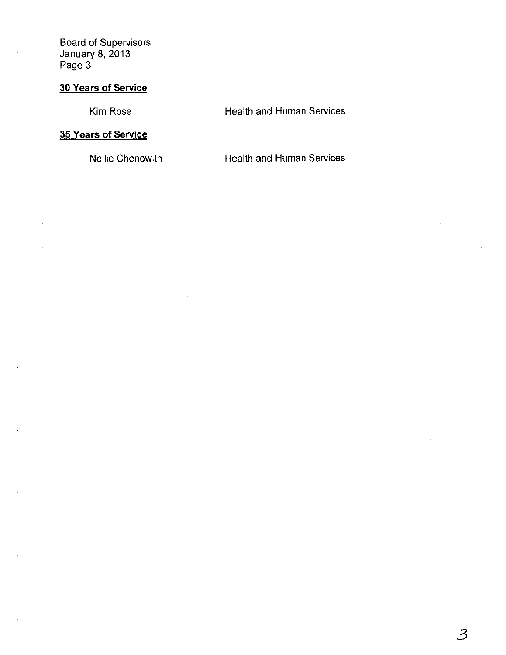Board of Supervisors January 8,2013 Page 3

# **30 Years of Service**

Kim Rose

## Health and Human Services

# **35 Years of Service**

Nellie Chenowith

Health and Human Services